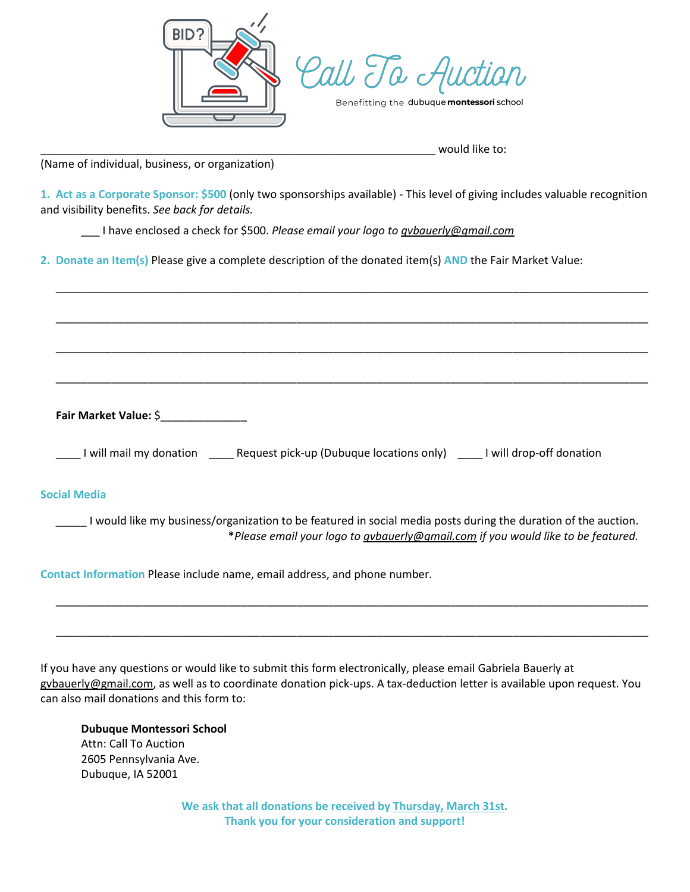



|  | Benefitting the <b>dubuque <b>montessori</b> school</b> |
|--|---------------------------------------------------------|
|--|---------------------------------------------------------|

would like to:

(Name of individual, business, or organization)

**1. Act as a Corporate Sponsor: \$500** (only two sponsorships available) - This level of giving includes valuable recognition and visibility benefits. *See back for details.*

\_\_\_\_\_\_\_\_\_\_\_\_\_\_\_\_\_\_\_\_\_\_\_\_\_\_\_\_\_\_\_\_\_\_\_\_\_\_\_\_\_\_\_\_\_\_\_\_\_\_\_\_\_\_\_\_\_\_\_\_\_\_\_\_\_\_\_\_\_\_\_\_\_\_\_\_\_\_\_\_\_\_\_\_\_\_\_\_\_\_\_\_\_\_\_\_

\_\_\_\_\_\_\_\_\_\_\_\_\_\_\_\_\_\_\_\_\_\_\_\_\_\_\_\_\_\_\_\_\_\_\_\_\_\_\_\_\_\_\_\_\_\_\_\_\_\_\_\_\_\_\_\_\_\_\_\_\_\_\_\_\_\_\_\_\_\_\_\_\_\_\_\_\_\_\_\_\_\_\_\_\_\_\_\_\_\_\_\_\_\_\_\_

\_\_\_\_\_\_\_\_\_\_\_\_\_\_\_\_\_\_\_\_\_\_\_\_\_\_\_\_\_\_\_\_\_\_\_\_\_\_\_\_\_\_\_\_\_\_\_\_\_\_\_\_\_\_\_\_\_\_\_\_\_\_\_\_\_\_\_\_\_\_\_\_\_\_\_\_\_\_\_\_\_\_\_\_\_\_\_\_\_\_\_\_\_\_\_\_

\_\_\_\_\_\_\_\_\_\_\_\_\_\_\_\_\_\_\_\_\_\_\_\_\_\_\_\_\_\_\_\_\_\_\_\_\_\_\_\_\_\_\_\_\_\_\_\_\_\_\_\_\_\_\_\_\_\_\_\_\_\_\_\_\_\_\_\_\_\_\_\_\_\_\_\_\_\_\_\_\_\_\_\_\_\_\_\_\_\_\_\_\_\_\_\_

\_\_\_ I have enclosed a check for \$500. *Please email your logo to [gvbauerly@gmail.com](mailto:gvbauerly@gmail.com)*

**2. Donate an Item(s)** Please give a complete description of the donated item(s) **AND** the Fair Market Value:

**Fair Market Value:** \$\_\_\_\_\_\_\_\_\_\_\_\_\_\_

\_\_\_\_ I will mail my donation \_\_\_\_ Request pick-up (Dubuque locations only) \_\_\_\_ I will drop-off donation

## **Social Media**

I would like my business/organization to be featured in social media posts during the duration of the auction. **\****Please email your logo t[o gvbauerly@gmail.com](mailto:gvbauerly@gmail.com) if you would like to be featured.* 

\_\_\_\_\_\_\_\_\_\_\_\_\_\_\_\_\_\_\_\_\_\_\_\_\_\_\_\_\_\_\_\_\_\_\_\_\_\_\_\_\_\_\_\_\_\_\_\_\_\_\_\_\_\_\_\_\_\_\_\_\_\_\_\_\_\_\_\_\_\_\_\_\_\_\_\_\_\_\_\_\_\_\_\_\_\_\_\_\_\_\_\_\_\_\_\_

\_\_\_\_\_\_\_\_\_\_\_\_\_\_\_\_\_\_\_\_\_\_\_\_\_\_\_\_\_\_\_\_\_\_\_\_\_\_\_\_\_\_\_\_\_\_\_\_\_\_\_\_\_\_\_\_\_\_\_\_\_\_\_\_\_\_\_\_\_\_\_\_\_\_\_\_\_\_\_\_\_\_\_\_\_\_\_\_\_\_\_\_\_\_\_\_

**Contact Information** Please include name, email address, and phone number.

If you have any questions or would like to submit this form electronically, please email Gabriela Bauerly at [gvbauerly@gmail.com,](mailto:gvbauerly@gmail.com) as well as to coordinate donation pick-ups. A tax-deduction letter is available upon request. You can also mail donations and this form to:

**Dubuque Montessori School** Attn: Call To Auction 2605 Pennsylvania Ave. Dubuque, IA 52001

> **We ask that all donations be received by Thursday, March 31st. Thank you for your consideration and support!**